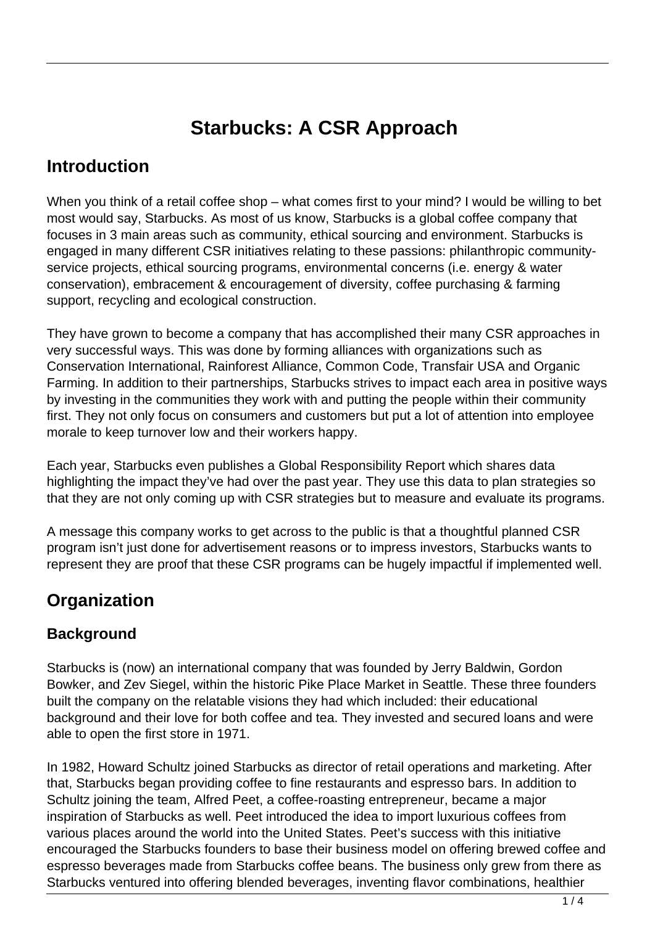# **Starbucks: A CSR Approach**

### **Introduction**

When you think of a retail coffee shop – what comes first to your mind? I would be willing to bet most would say, Starbucks. As most of us know, Starbucks is a global coffee company that focuses in 3 main areas such as community, ethical sourcing and environment. Starbucks is engaged in many different CSR initiatives relating to these passions: philanthropic communityservice projects, ethical sourcing programs, environmental concerns (i.e. energy & water conservation), embracement & encouragement of diversity, coffee purchasing & farming support, recycling and ecological construction.

They have grown to become a company that has accomplished their many CSR approaches in very successful ways. This was done by forming alliances with organizations such as Conservation International, Rainforest Alliance, Common Code, Transfair USA and Organic Farming. In addition to their partnerships, Starbucks strives to impact each area in positive ways by investing in the communities they work with and putting the people within their community first. They not only focus on consumers and customers but put a lot of attention into employee morale to keep turnover low and their workers happy.

Each year, Starbucks even publishes a Global Responsibility Report which shares data highlighting the impact they've had over the past year. They use this data to plan strategies so that they are not only coming up with CSR strategies but to measure and evaluate its programs.

A message this company works to get across to the public is that a thoughtful planned CSR program isn't just done for advertisement reasons or to impress investors, Starbucks wants to represent they are proof that these CSR programs can be hugely impactful if implemented well.

### **Organization**

#### **Background**

Starbucks is (now) an international company that was founded by Jerry Baldwin, Gordon Bowker, and Zev Siegel, within the historic Pike Place Market in Seattle. These three founders built the company on the relatable visions they had which included: their educational background and their love for both coffee and tea. They invested and secured loans and were able to open the first store in 1971.

In 1982, Howard Schultz joined Starbucks as director of retail operations and marketing. After that, Starbucks began providing coffee to fine restaurants and espresso bars. In addition to Schultz joining the team, Alfred Peet, a coffee-roasting entrepreneur, became a major inspiration of Starbucks as well. Peet introduced the idea to import luxurious coffees from various places around the world into the United States. Peet's success with this initiative encouraged the Starbucks founders to base their business model on offering brewed coffee and espresso beverages made from Starbucks coffee beans. The business only grew from there as Starbucks ventured into offering blended beverages, inventing flavor combinations, healthier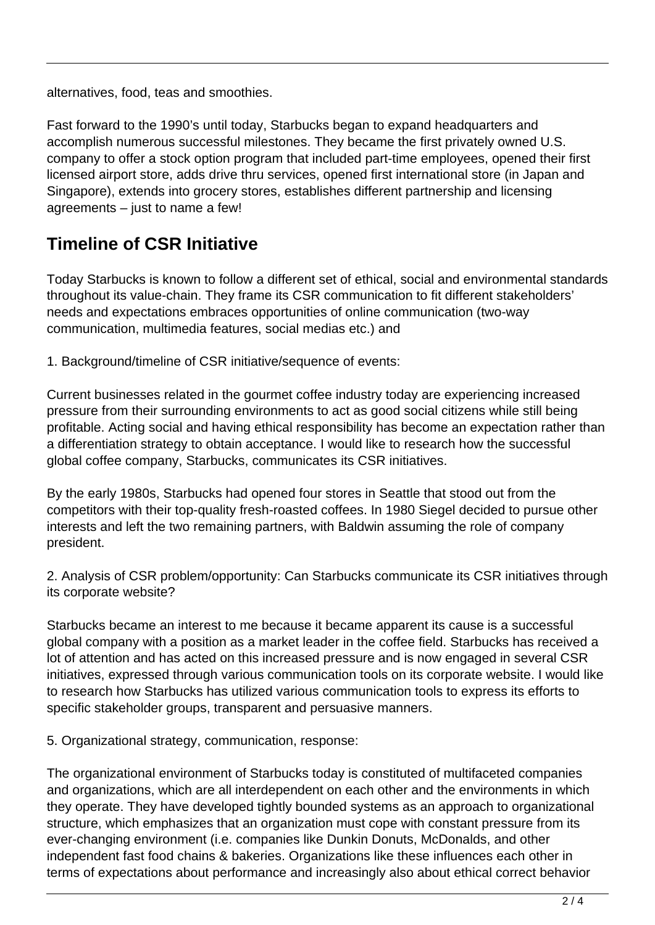alternatives, food, teas and smoothies.

Fast forward to the 1990's until today, Starbucks began to expand headquarters and accomplish numerous successful milestones. They became the first privately owned U.S. company to offer a stock option program that included part-time employees, opened their first licensed airport store, adds drive thru services, opened first international store (in Japan and Singapore), extends into grocery stores, establishes different partnership and licensing agreements – just to name a few!

## **Timeline of CSR Initiative**

Today Starbucks is known to follow a different set of ethical, social and environmental standards throughout its value-chain. They frame its CSR communication to fit different stakeholders' needs and expectations embraces opportunities of online communication (two-way communication, multimedia features, social medias etc.) and

1. Background/timeline of CSR initiative/sequence of events:

Current businesses related in the gourmet coffee industry today are experiencing increased pressure from their surrounding environments to act as good social citizens while still being profitable. Acting social and having ethical responsibility has become an expectation rather than a differentiation strategy to obtain acceptance. I would like to research how the successful global coffee company, Starbucks, communicates its CSR initiatives.

By the early 1980s, Starbucks had opened four stores in Seattle that stood out from the competitors with their top-quality fresh-roasted coffees. In 1980 Siegel decided to pursue other interests and left the two remaining partners, with Baldwin assuming the role of company president.

2. Analysis of CSR problem/opportunity: Can Starbucks communicate its CSR initiatives through its corporate website?

Starbucks became an interest to me because it became apparent its cause is a successful global company with a position as a market leader in the coffee field. Starbucks has received a lot of attention and has acted on this increased pressure and is now engaged in several CSR initiatives, expressed through various communication tools on its corporate website. I would like to research how Starbucks has utilized various communication tools to express its efforts to specific stakeholder groups, transparent and persuasive manners.

5. Organizational strategy, communication, response:

The organizational environment of Starbucks today is constituted of multifaceted companies and organizations, which are all interdependent on each other and the environments in which they operate. They have developed tightly bounded systems as an approach to organizational structure, which emphasizes that an organization must cope with constant pressure from its ever-changing environment (i.e. companies like Dunkin Donuts, McDonalds, and other independent fast food chains & bakeries. Organizations like these influences each other in terms of expectations about performance and increasingly also about ethical correct behavior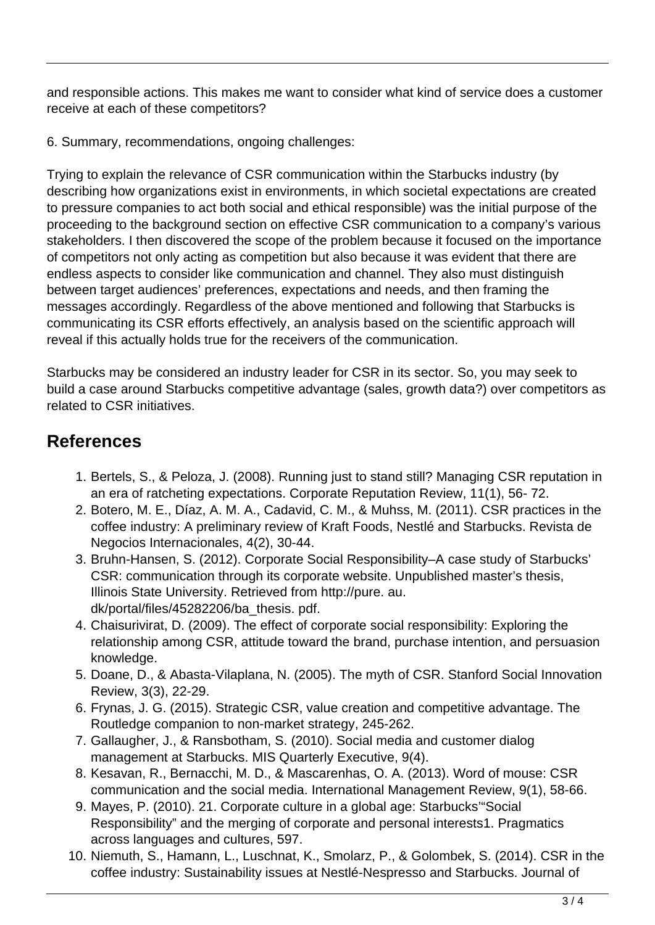and responsible actions. This makes me want to consider what kind of service does a customer receive at each of these competitors?

6. Summary, recommendations, ongoing challenges:

Trying to explain the relevance of CSR communication within the Starbucks industry (by describing how organizations exist in environments, in which societal expectations are created to pressure companies to act both social and ethical responsible) was the initial purpose of the proceeding to the background section on effective CSR communication to a company's various stakeholders. I then discovered the scope of the problem because it focused on the importance of competitors not only acting as competition but also because it was evident that there are endless aspects to consider like communication and channel. They also must distinguish between target audiences' preferences, expectations and needs, and then framing the messages accordingly. Regardless of the above mentioned and following that Starbucks is communicating its CSR efforts effectively, an analysis based on the scientific approach will reveal if this actually holds true for the receivers of the communication.

Starbucks may be considered an industry leader for CSR in its sector. So, you may seek to build a case around Starbucks competitive advantage (sales, growth data?) over competitors as related to CSR initiatives.

### **References**

- 1. Bertels, S., & Peloza, J. (2008). Running just to stand still? Managing CSR reputation in an era of ratcheting expectations. Corporate Reputation Review, 11(1), 56- 72.
- 2. Botero, M. E., Díaz, A. M. A., Cadavid, C. M., & Muhss, M. (2011). CSR practices in the coffee industry: A preliminary review of Kraft Foods, Nestlé and Starbucks. Revista de Negocios Internacionales, 4(2), 30-44.
- 3. Bruhn-Hansen, S. (2012). Corporate Social Responsibility–A case study of Starbucks' CSR: communication through its corporate website. Unpublished master's thesis, Illinois State University. Retrieved from http://pure. au. dk/portal/files/45282206/ba\_thesis. pdf.
- 4. Chaisurivirat, D. (2009). The effect of corporate social responsibility: Exploring the relationship among CSR, attitude toward the brand, purchase intention, and persuasion knowledge.
- 5. Doane, D., & Abasta-Vilaplana, N. (2005). The myth of CSR. Stanford Social Innovation Review, 3(3), 22-29.
- 6. Frynas, J. G. (2015). Strategic CSR, value creation and competitive advantage. The Routledge companion to non-market strategy, 245-262.
- 7. Gallaugher, J., & Ransbotham, S. (2010). Social media and customer dialog management at Starbucks. MIS Quarterly Executive, 9(4).
- 8. Kesavan, R., Bernacchi, M. D., & Mascarenhas, O. A. (2013). Word of mouse: CSR communication and the social media. International Management Review, 9(1), 58-66.
- 9. Mayes, P. (2010). 21. Corporate culture in a global age: Starbucks'"Social Responsibility" and the merging of corporate and personal interests1. Pragmatics across languages and cultures, 597.
- 10. Niemuth, S., Hamann, L., Luschnat, K., Smolarz, P., & Golombek, S. (2014). CSR in the coffee industry: Sustainability issues at Nestlé-Nespresso and Starbucks. Journal of